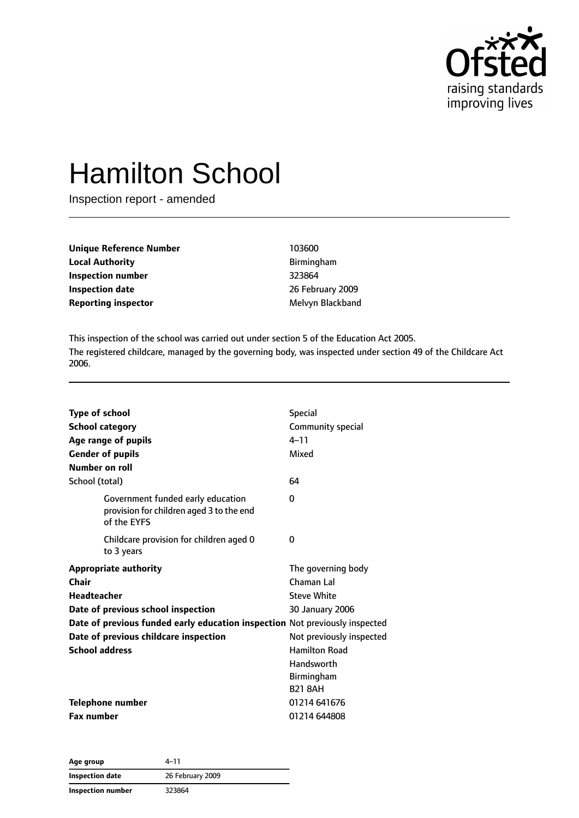

# Hamilton School

Inspection report - amended

| Unique Reference Number    | 103600           |
|----------------------------|------------------|
| <b>Local Authority</b>     | Birmingham       |
| <b>Inspection number</b>   | 323864           |
| <b>Inspection date</b>     | 26 February 2009 |
| <b>Reporting inspector</b> | Melvyn Blackband |

This inspection of the school was carried out under section 5 of the Education Act 2005. The registered childcare, managed by the governing body, was inspected under section 49 of the Childcare Act 2006.

| Type of school<br><b>School category</b><br>Age range of pupils<br><b>Gender of pupils</b><br>Number on roll                                                                                                                                | <b>Special</b><br>Community special<br>$4 - 11$<br>Mixed                                                                                                                    |
|---------------------------------------------------------------------------------------------------------------------------------------------------------------------------------------------------------------------------------------------|-----------------------------------------------------------------------------------------------------------------------------------------------------------------------------|
| School (total)                                                                                                                                                                                                                              | 64                                                                                                                                                                          |
| Government funded early education<br>provision for children aged 3 to the end<br>of the EYFS                                                                                                                                                | $\Omega$                                                                                                                                                                    |
| Childcare provision for children aged 0<br>to 3 years                                                                                                                                                                                       | 0                                                                                                                                                                           |
| <b>Appropriate authority</b><br>Chair<br>Headteacher<br>Date of previous school inspection<br>Date of previous funded early education inspection Not previously inspected<br>Date of previous childcare inspection<br><b>School address</b> | The governing body<br>Chaman Lal<br><b>Steve White</b><br>30 January 2006<br>Not previously inspected<br><b>Hamilton Road</b><br>Handsworth<br>Birmingham<br><b>B21 8AH</b> |
| <b>Telephone number</b><br><b>Fax number</b>                                                                                                                                                                                                | 01214 641676<br>01214 644808                                                                                                                                                |

| Age group         | 4–11             |  |
|-------------------|------------------|--|
| Inspection date   | 26 February 2009 |  |
| Inspection number | 323864           |  |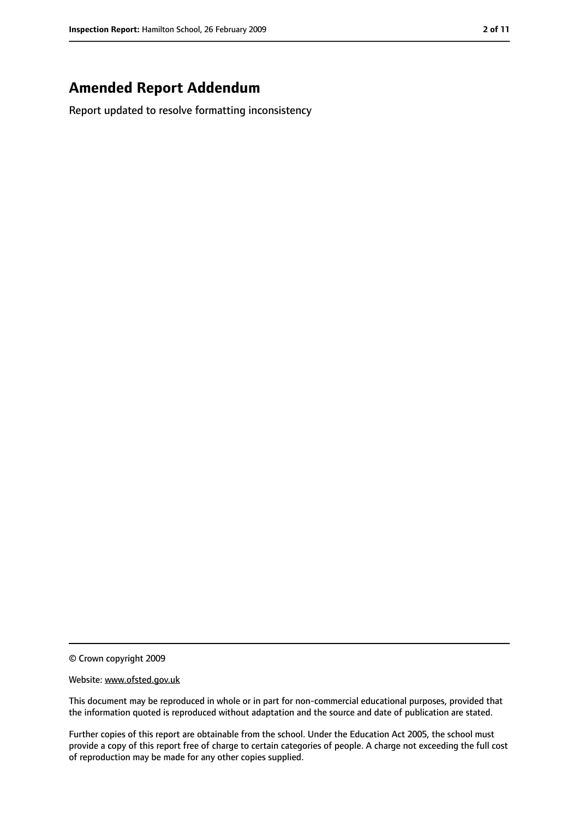# **Amended Report Addendum**

Report updated to resolve formatting inconsistency

© Crown copyright 2009

Website: www.ofsted.gov.uk

This document may be reproduced in whole or in part for non-commercial educational purposes, provided that the information quoted is reproduced without adaptation and the source and date of publication are stated.

Further copies of this report are obtainable from the school. Under the Education Act 2005, the school must provide a copy of this report free of charge to certain categories of people. A charge not exceeding the full cost of reproduction may be made for any other copies supplied.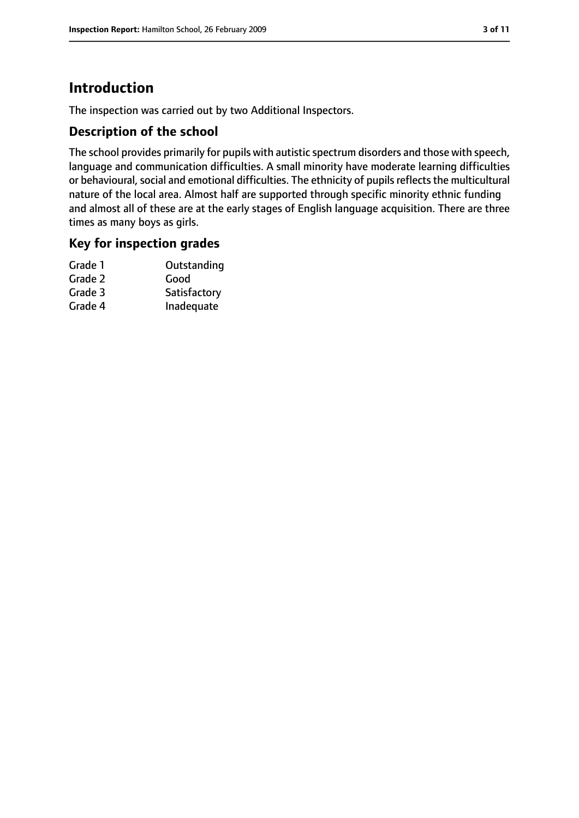# **Introduction**

The inspection was carried out by two Additional Inspectors.

## **Description of the school**

The school provides primarily for pupils with autistic spectrum disorders and those with speech, language and communication difficulties. A small minority have moderate learning difficulties or behavioural, social and emotional difficulties. The ethnicity of pupils reflects the multicultural nature of the local area. Almost half are supported through specific minority ethnic funding and almost all of these are at the early stages of English language acquisition. There are three times as many boys as girls.

#### **Key for inspection grades**

| Grade 1 | Outstanding  |
|---------|--------------|
| Grade 2 | Good         |
| Grade 3 | Satisfactory |
| Grade 4 | Inadequate   |
|         |              |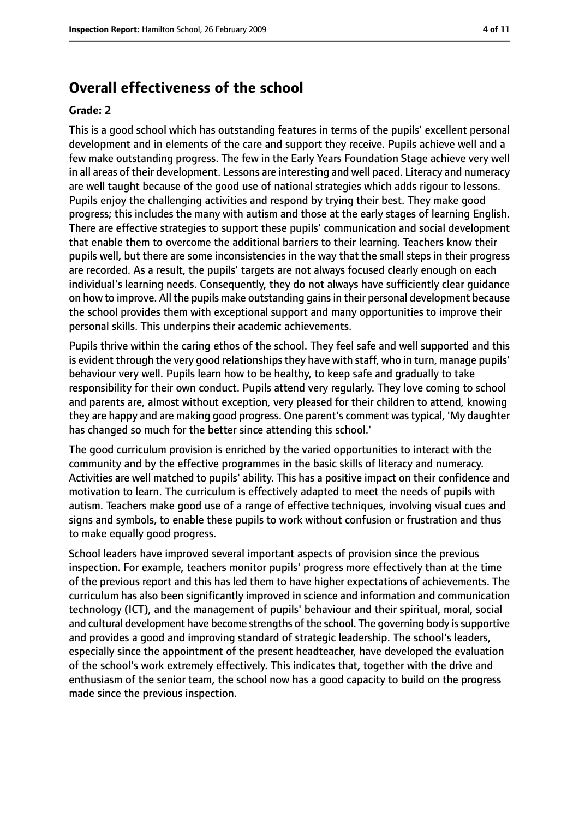# **Overall effectiveness of the school**

#### **Grade: 2**

This is a good school which has outstanding features in terms of the pupils' excellent personal development and in elements of the care and support they receive. Pupils achieve well and a few make outstanding progress. The few in the Early Years Foundation Stage achieve very well in all areas of their development. Lessons are interesting and well paced. Literacy and numeracy are well taught because of the good use of national strategies which adds rigour to lessons. Pupils enjoy the challenging activities and respond by trying their best. They make good progress; this includes the many with autism and those at the early stages of learning English. There are effective strategies to support these pupils' communication and social development that enable them to overcome the additional barriers to their learning. Teachers know their pupils well, but there are some inconsistencies in the way that the small steps in their progress are recorded. As a result, the pupils' targets are not always focused clearly enough on each individual's learning needs. Consequently, they do not always have sufficiently clear guidance on how to improve. All the pupils make outstanding gains in their personal development because the school provides them with exceptional support and many opportunities to improve their personal skills. This underpins their academic achievements.

Pupils thrive within the caring ethos of the school. They feel safe and well supported and this is evident through the very good relationships they have with staff, who in turn, manage pupils' behaviour very well. Pupils learn how to be healthy, to keep safe and gradually to take responsibility for their own conduct. Pupils attend very regularly. They love coming to school and parents are, almost without exception, very pleased for their children to attend, knowing they are happy and are making good progress. One parent's comment wastypical, 'My daughter has changed so much for the better since attending this school.'

The good curriculum provision is enriched by the varied opportunities to interact with the community and by the effective programmes in the basic skills of literacy and numeracy. Activities are well matched to pupils' ability. This has a positive impact on their confidence and motivation to learn. The curriculum is effectively adapted to meet the needs of pupils with autism. Teachers make good use of a range of effective techniques, involving visual cues and signs and symbols, to enable these pupils to work without confusion or frustration and thus to make equally good progress.

School leaders have improved several important aspects of provision since the previous inspection. For example, teachers monitor pupils' progress more effectively than at the time of the previous report and this has led them to have higher expectations of achievements. The curriculum has also been significantly improved in science and information and communication technology (ICT), and the management of pupils' behaviour and their spiritual, moral, social and cultural development have become strengths of the school. The governing body issupportive and provides a good and improving standard of strategic leadership. The school's leaders, especially since the appointment of the present headteacher, have developed the evaluation of the school's work extremely effectively. This indicates that, together with the drive and enthusiasm of the senior team, the school now has a good capacity to build on the progress made since the previous inspection.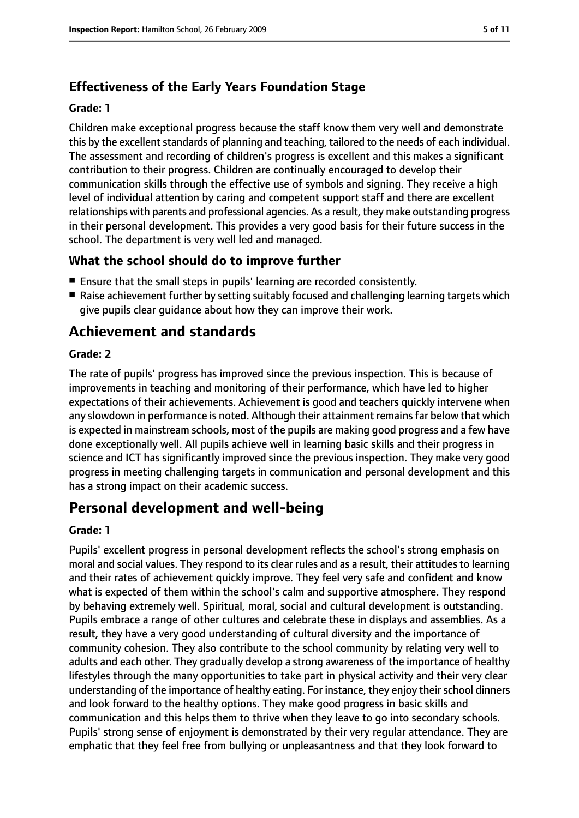# **Effectiveness of the Early Years Foundation Stage**

#### **Grade: 1**

Children make exceptional progress because the staff know them very well and demonstrate this by the excellent standards of planning and teaching, tailored to the needs of each individual. The assessment and recording of children's progress is excellent and this makes a significant contribution to their progress. Children are continually encouraged to develop their communication skills through the effective use of symbols and signing. They receive a high level of individual attention by caring and competent support staff and there are excellent relationships with parents and professional agencies. As a result, they make outstanding progress in their personal development. This provides a very good basis for their future success in the school. The department is very well led and managed.

# **What the school should do to improve further**

- Ensure that the small steps in pupils' learning are recorded consistently.
- Raise achievement further by setting suitably focused and challenging learning targets which give pupils clear guidance about how they can improve their work.

# **Achievement and standards**

#### **Grade: 2**

The rate of pupils' progress has improved since the previous inspection. This is because of improvements in teaching and monitoring of their performance, which have led to higher expectations of their achievements. Achievement is good and teachers quickly intervene when any slowdown in performance is noted. Although their attainment remains far below that which is expected in mainstream schools, most of the pupils are making good progress and a few have done exceptionally well. All pupils achieve well in learning basic skills and their progress in science and ICT has significantly improved since the previous inspection. They make very good progress in meeting challenging targets in communication and personal development and this has a strong impact on their academic success.

# **Personal development and well-being**

#### **Grade: 1**

Pupils' excellent progress in personal development reflects the school's strong emphasis on moral and social values. They respond to its clear rules and as a result, their attitudes to learning and their rates of achievement quickly improve. They feel very safe and confident and know what is expected of them within the school's calm and supportive atmosphere. They respond by behaving extremely well. Spiritual, moral, social and cultural development is outstanding. Pupils embrace a range of other cultures and celebrate these in displays and assemblies. As a result, they have a very good understanding of cultural diversity and the importance of community cohesion. They also contribute to the school community by relating very well to adults and each other. They gradually develop a strong awareness of the importance of healthy lifestyles through the many opportunities to take part in physical activity and their very clear understanding of the importance of healthy eating. For instance, they enjoy their school dinners and look forward to the healthy options. They make good progress in basic skills and communication and this helps them to thrive when they leave to go into secondary schools. Pupils' strong sense of enjoyment is demonstrated by their very regular attendance. They are emphatic that they feel free from bullying or unpleasantness and that they look forward to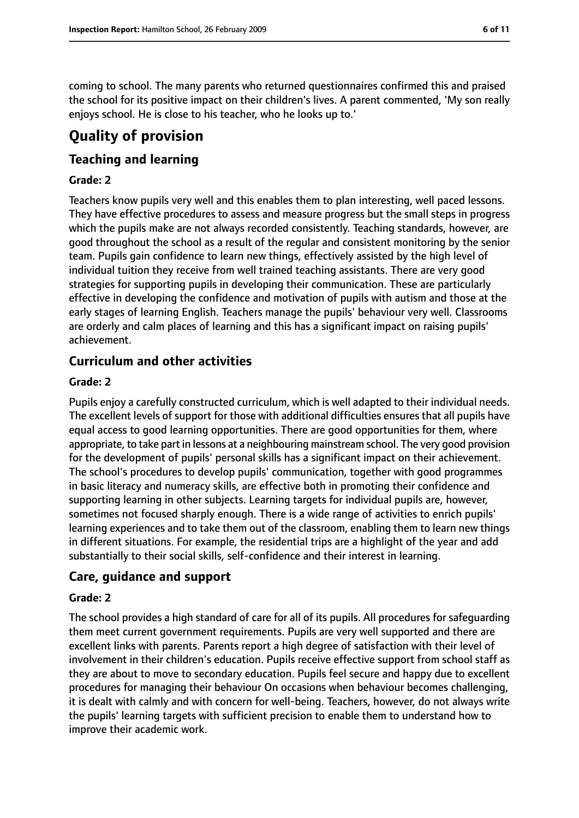coming to school. The many parents who returned questionnaires confirmed this and praised the school for its positive impact on their children's lives. A parent commented, 'My son really enjoys school. He is close to his teacher, who he looks up to.'

# **Quality of provision**

# **Teaching and learning**

#### **Grade: 2**

Teachers know pupils very well and this enables them to plan interesting, well paced lessons. They have effective procedures to assess and measure progress but the small steps in progress which the pupils make are not always recorded consistently. Teaching standards, however, are good throughout the school as a result of the regular and consistent monitoring by the senior team. Pupils gain confidence to learn new things, effectively assisted by the high level of individual tuition they receive from well trained teaching assistants. There are very good strategies for supporting pupils in developing their communication. These are particularly effective in developing the confidence and motivation of pupils with autism and those at the early stages of learning English. Teachers manage the pupils' behaviour very well. Classrooms are orderly and calm places of learning and this has a significant impact on raising pupils' achievement.

# **Curriculum and other activities**

#### **Grade: 2**

Pupils enjoy a carefully constructed curriculum, which is well adapted to their individual needs. The excellent levels of support for those with additional difficulties ensures that all pupils have equal access to good learning opportunities. There are good opportunities for them, where appropriate, to take part in lessons at a neighbouring mainstream school. The very good provision for the development of pupils' personal skills has a significant impact on their achievement. The school's procedures to develop pupils' communication, together with good programmes in basic literacy and numeracy skills, are effective both in promoting their confidence and supporting learning in other subjects. Learning targets for individual pupils are, however, sometimes not focused sharply enough. There is a wide range of activities to enrich pupils' learning experiences and to take them out of the classroom, enabling them to learn new things in different situations. For example, the residential trips are a highlight of the year and add substantially to their social skills, self-confidence and their interest in learning.

# **Care, guidance and support**

#### **Grade: 2**

The school provides a high standard of care for all of its pupils. All procedures for safeguarding them meet current government requirements. Pupils are very well supported and there are excellent links with parents. Parents report a high degree of satisfaction with their level of involvement in their children's education. Pupils receive effective support from school staff as they are about to move to secondary education. Pupils feel secure and happy due to excellent procedures for managing their behaviour On occasions when behaviour becomes challenging, it is dealt with calmly and with concern for well-being. Teachers, however, do not always write the pupils' learning targets with sufficient precision to enable them to understand how to improve their academic work.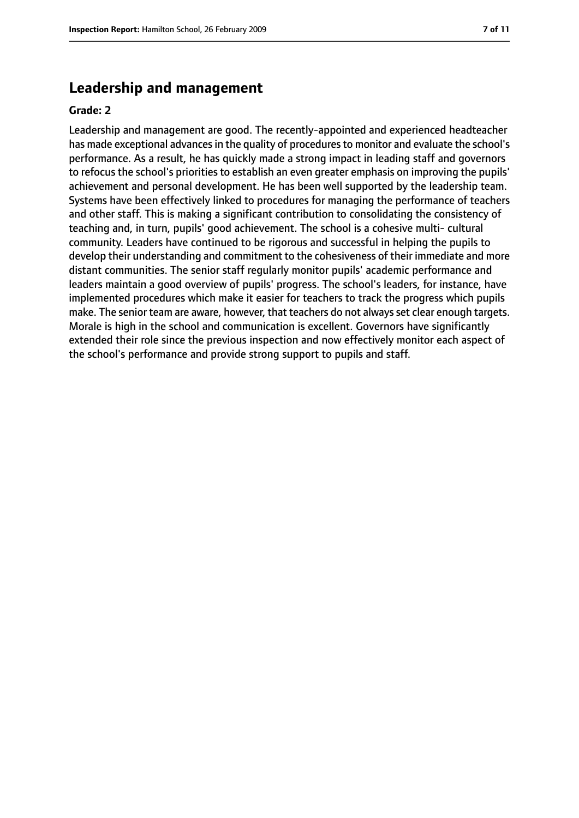## **Leadership and management**

#### **Grade: 2**

Leadership and management are good. The recently-appointed and experienced headteacher has made exceptional advances in the quality of procedures to monitor and evaluate the school's performance. As a result, he has quickly made a strong impact in leading staff and governors to refocus the school's priorities to establish an even greater emphasis on improving the pupils' achievement and personal development. He has been well supported by the leadership team. Systems have been effectively linked to procedures for managing the performance of teachers and other staff. This is making a significant contribution to consolidating the consistency of teaching and, in turn, pupils' good achievement. The school is a cohesive multi- cultural community. Leaders have continued to be rigorous and successful in helping the pupils to develop their understanding and commitment to the cohesiveness of their immediate and more distant communities. The senior staff regularly monitor pupils' academic performance and leaders maintain a good overview of pupils' progress. The school's leaders, for instance, have implemented procedures which make it easier for teachers to track the progress which pupils make. The senior team are aware, however, that teachers do not always set clear enough targets. Morale is high in the school and communication is excellent. Governors have significantly extended their role since the previous inspection and now effectively monitor each aspect of the school's performance and provide strong support to pupils and staff.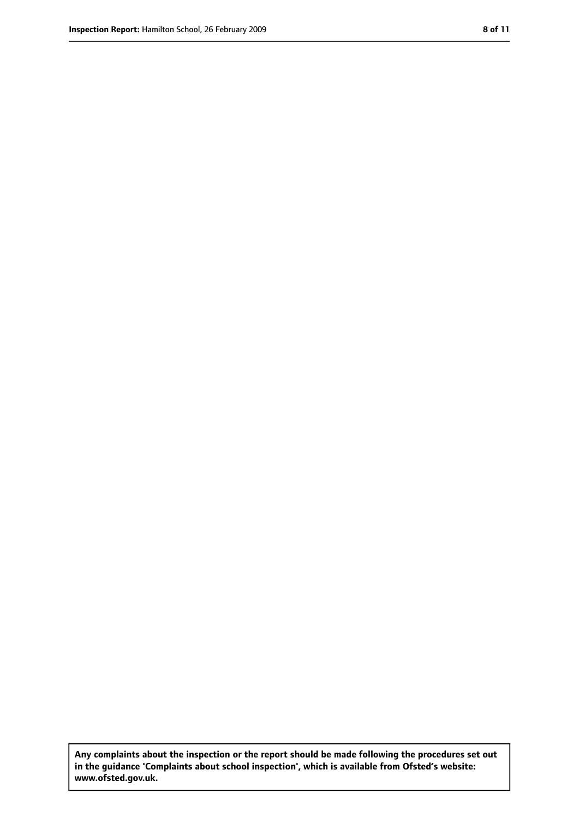**Any complaints about the inspection or the report should be made following the procedures set out in the guidance 'Complaints about school inspection', which is available from Ofsted's website: www.ofsted.gov.uk.**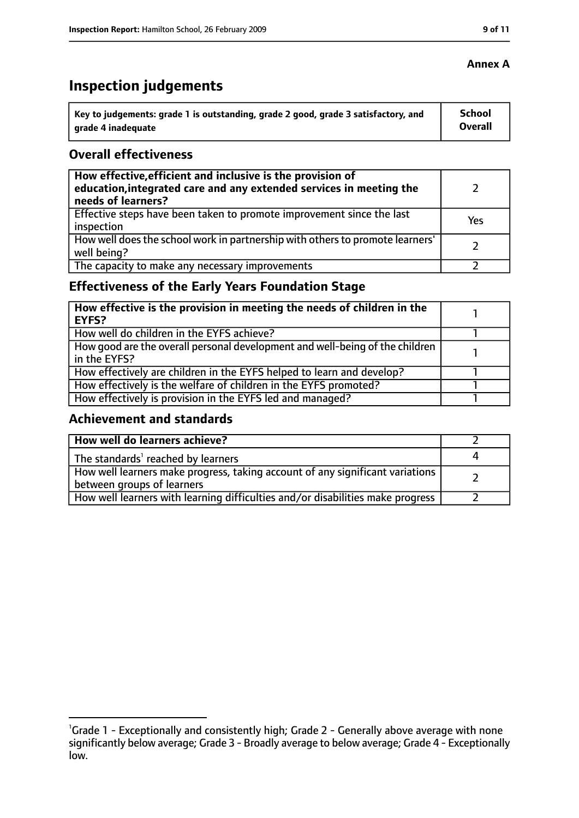# **Inspection judgements**

| $\lq$ Key to judgements: grade 1 is outstanding, grade 2 good, grade 3 satisfactory, and | <b>School</b> |
|------------------------------------------------------------------------------------------|---------------|
| arade 4 inadequate                                                                       | Overall       |

## **Overall effectiveness**

| How effective, efficient and inclusive is the provision of<br>education, integrated care and any extended services in meeting the<br>needs of learners? |     |
|---------------------------------------------------------------------------------------------------------------------------------------------------------|-----|
| Effective steps have been taken to promote improvement since the last<br>inspection                                                                     | Yes |
| How well does the school work in partnership with others to promote learners'<br>well being?                                                            |     |
| The capacity to make any necessary improvements                                                                                                         |     |

# **Effectiveness of the Early Years Foundation Stage**

| How effective is the provision in meeting the needs of children in the<br>l EYFS?            |  |
|----------------------------------------------------------------------------------------------|--|
| How well do children in the EYFS achieve?                                                    |  |
| How good are the overall personal development and well-being of the children<br>in the EYFS? |  |
| How effectively are children in the EYFS helped to learn and develop?                        |  |
| How effectively is the welfare of children in the EYFS promoted?                             |  |
| How effectively is provision in the EYFS led and managed?                                    |  |

# **Achievement and standards**

| How well do learners achieve?                                                  |  |
|--------------------------------------------------------------------------------|--|
| The standards <sup>1</sup> reached by learners                                 |  |
| How well learners make progress, taking account of any significant variations  |  |
| between groups of learners                                                     |  |
| How well learners with learning difficulties and/or disabilities make progress |  |

# **Annex A**

<sup>&</sup>lt;sup>1</sup>Grade 1 - Exceptionally and consistently high; Grade 2 - Generally above average with none significantly below average; Grade 3 - Broadly average to below average; Grade 4 - Exceptionally low.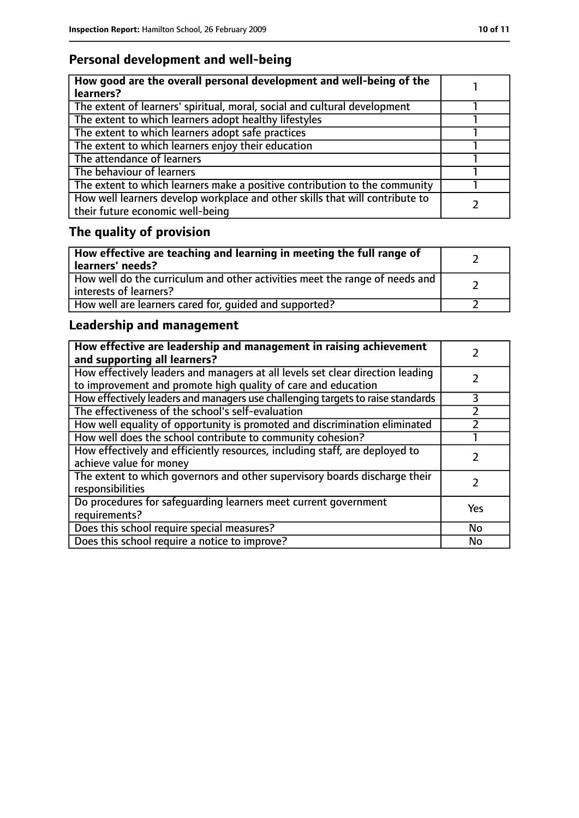# **Personal development and well-being**

| How good are the overall personal development and well-being of the<br>learners?                                 |  |
|------------------------------------------------------------------------------------------------------------------|--|
| The extent of learners' spiritual, moral, social and cultural development                                        |  |
| The extent to which learners adopt healthy lifestyles                                                            |  |
| The extent to which learners adopt safe practices                                                                |  |
| The extent to which learners enjoy their education                                                               |  |
| The attendance of learners                                                                                       |  |
| The behaviour of learners                                                                                        |  |
| The extent to which learners make a positive contribution to the community                                       |  |
| How well learners develop workplace and other skills that will contribute to<br>their future economic well-being |  |

# **The quality of provision**

| How effective are teaching and learning in meeting the full range of<br>learners' needs?              |  |
|-------------------------------------------------------------------------------------------------------|--|
| How well do the curriculum and other activities meet the range of needs and<br>interests of learners? |  |
| How well are learners cared for, quided and supported?                                                |  |

# **Leadership and management**

| How effective are leadership and management in raising achievement<br>and supporting all learners?                                              |     |
|-------------------------------------------------------------------------------------------------------------------------------------------------|-----|
| How effectively leaders and managers at all levels set clear direction leading<br>to improvement and promote high quality of care and education |     |
| How effectively leaders and managers use challenging targets to raise standards                                                                 | 3   |
| The effectiveness of the school's self-evaluation                                                                                               |     |
| How well equality of opportunity is promoted and discrimination eliminated                                                                      |     |
| How well does the school contribute to community cohesion?                                                                                      |     |
| How effectively and efficiently resources, including staff, are deployed to<br>achieve value for money                                          |     |
| The extent to which governors and other supervisory boards discharge their<br>responsibilities                                                  |     |
| Do procedures for safequarding learners meet current government<br>requirements?                                                                | Yes |
| Does this school require special measures?                                                                                                      | No  |
| Does this school require a notice to improve?                                                                                                   | No  |